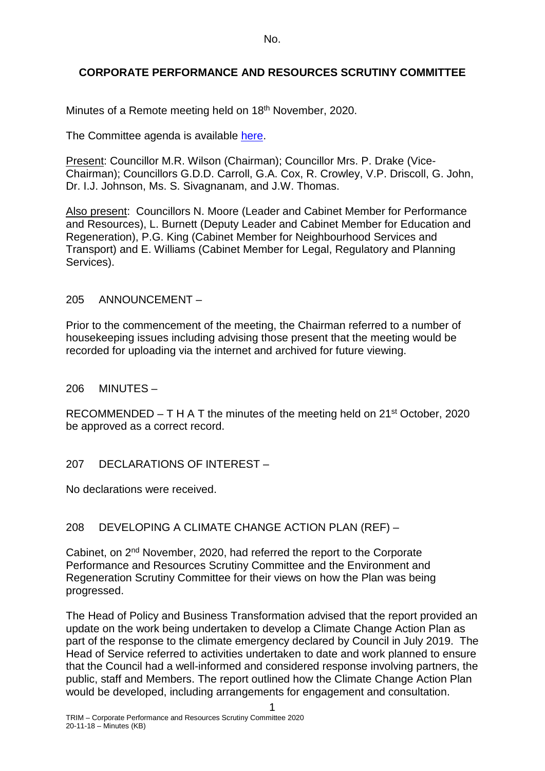No.

## **CORPORATE PERFORMANCE AND RESOURCES SCRUTINY COMMITTEE**

Minutes of a Remote meeting held on 18<sup>th</sup> November, 2020.

The Committee agenda is available [here.](https://www.valeofglamorgan.gov.uk/en/our_council/Council-Structure/minutes,_agendas_and_reports/agendas/Scrutiny-CPR/2020/20-11-18.aspx)

Present: Councillor M.R. Wilson (Chairman); Councillor Mrs. P. Drake (Vice-Chairman); Councillors G.D.D. Carroll, G.A. Cox, R. Crowley, V.P. Driscoll, G. John, Dr. I.J. Johnson, Ms. S. Sivagnanam, and J.W. Thomas.

Also present: Councillors N. Moore (Leader and Cabinet Member for Performance and Resources), L. Burnett (Deputy Leader and Cabinet Member for Education and Regeneration), P.G. King (Cabinet Member for Neighbourhood Services and Transport) and E. Williams (Cabinet Member for Legal, Regulatory and Planning Services).

### 205 ANNOUNCEMENT –

Prior to the commencement of the meeting, the Chairman referred to a number of housekeeping issues including advising those present that the meeting would be recorded for uploading via the internet and archived for future viewing.

206 MINUTES –

RECOMMENDED – T H A T the minutes of the meeting held on  $21^{st}$  October, 2020 be approved as a correct record.

207 DECLARATIONS OF INTEREST –

No declarations were received.

## 208 DEVELOPING A CLIMATE CHANGE ACTION PLAN (REF) –

Cabinet, on 2nd November, 2020, had referred the report to the Corporate Performance and Resources Scrutiny Committee and the Environment and Regeneration Scrutiny Committee for their views on how the Plan was being progressed.

The Head of Policy and Business Transformation advised that the report provided an update on the work being undertaken to develop a Climate Change Action Plan as part of the response to the climate emergency declared by Council in July 2019. The Head of Service referred to activities undertaken to date and work planned to ensure that the Council had a well-informed and considered response involving partners, the public, staff and Members. The report outlined how the Climate Change Action Plan would be developed, including arrangements for engagement and consultation.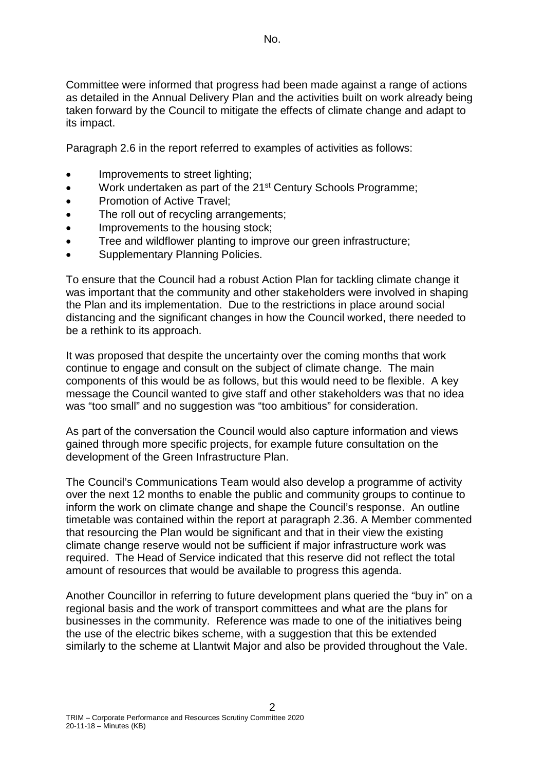Committee were informed that progress had been made against a range of actions as detailed in the Annual Delivery Plan and the activities built on work already being taken forward by the Council to mitigate the effects of climate change and adapt to its impact.

Paragraph 2.6 in the report referred to examples of activities as follows:

- Improvements to street lighting;
- Work undertaken as part of the 21<sup>st</sup> Century Schools Programme;
- Promotion of Active Travel:
- The roll out of recycling arrangements;
- Improvements to the housing stock:
- Tree and wildflower planting to improve our green infrastructure;
- Supplementary Planning Policies.

To ensure that the Council had a robust Action Plan for tackling climate change it was important that the community and other stakeholders were involved in shaping the Plan and its implementation. Due to the restrictions in place around social distancing and the significant changes in how the Council worked, there needed to be a rethink to its approach.

It was proposed that despite the uncertainty over the coming months that work continue to engage and consult on the subject of climate change. The main components of this would be as follows, but this would need to be flexible. A key message the Council wanted to give staff and other stakeholders was that no idea was "too small" and no suggestion was "too ambitious" for consideration.

As part of the conversation the Council would also capture information and views gained through more specific projects, for example future consultation on the development of the Green Infrastructure Plan.

The Council's Communications Team would also develop a programme of activity over the next 12 months to enable the public and community groups to continue to inform the work on climate change and shape the Council's response. An outline timetable was contained within the report at paragraph 2.36. A Member commented that resourcing the Plan would be significant and that in their view the existing climate change reserve would not be sufficient if major infrastructure work was required. The Head of Service indicated that this reserve did not reflect the total amount of resources that would be available to progress this agenda.

Another Councillor in referring to future development plans queried the "buy in" on a regional basis and the work of transport committees and what are the plans for businesses in the community. Reference was made to one of the initiatives being the use of the electric bikes scheme, with a suggestion that this be extended similarly to the scheme at Llantwit Major and also be provided throughout the Vale.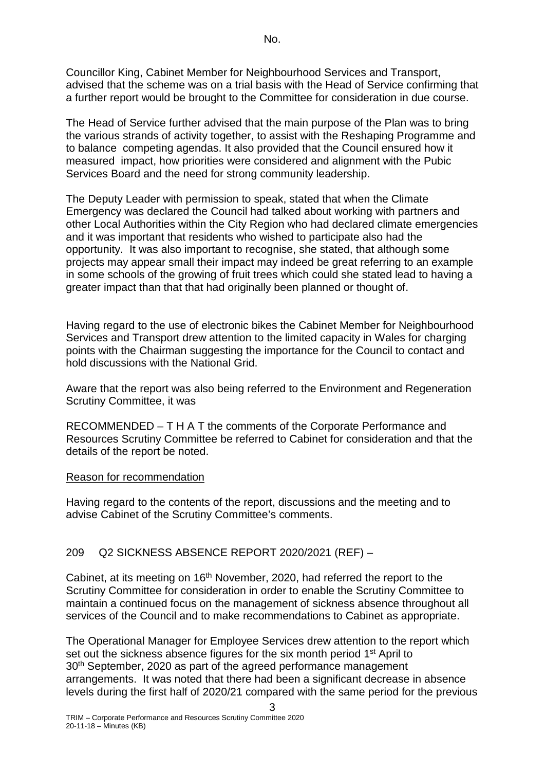Councillor King, Cabinet Member for Neighbourhood Services and Transport, advised that the scheme was on a trial basis with the Head of Service confirming that a further report would be brought to the Committee for consideration in due course.

The Head of Service further advised that the main purpose of the Plan was to bring the various strands of activity together, to assist with the Reshaping Programme and to balance competing agendas. It also provided that the Council ensured how it measured impact, how priorities were considered and alignment with the Pubic Services Board and the need for strong community leadership.

The Deputy Leader with permission to speak, stated that when the Climate Emergency was declared the Council had talked about working with partners and other Local Authorities within the City Region who had declared climate emergencies and it was important that residents who wished to participate also had the opportunity. It was also important to recognise, she stated, that although some projects may appear small their impact may indeed be great referring to an example in some schools of the growing of fruit trees which could she stated lead to having a greater impact than that that had originally been planned or thought of.

Having regard to the use of electronic bikes the Cabinet Member for Neighbourhood Services and Transport drew attention to the limited capacity in Wales for charging points with the Chairman suggesting the importance for the Council to contact and hold discussions with the National Grid.

Aware that the report was also being referred to the Environment and Regeneration Scrutiny Committee, it was

RECOMMENDED – T H A T the comments of the Corporate Performance and Resources Scrutiny Committee be referred to Cabinet for consideration and that the details of the report be noted.

## Reason for recommendation

Having regard to the contents of the report, discussions and the meeting and to advise Cabinet of the Scrutiny Committee's comments.

# 209 Q2 SICKNESS ABSENCE REPORT 2020/2021 (REF) –

Cabinet, at its meeting on 16<sup>th</sup> November, 2020, had referred the report to the Scrutiny Committee for consideration in order to enable the Scrutiny Committee to maintain a continued focus on the management of sickness absence throughout all services of the Council and to make recommendations to Cabinet as appropriate.

The Operational Manager for Employee Services drew attention to the report which set out the sickness absence figures for the six month period 1<sup>st</sup> April to 30<sup>th</sup> September, 2020 as part of the agreed performance management arrangements. It was noted that there had been a significant decrease in absence levels during the first half of 2020/21 compared with the same period for the previous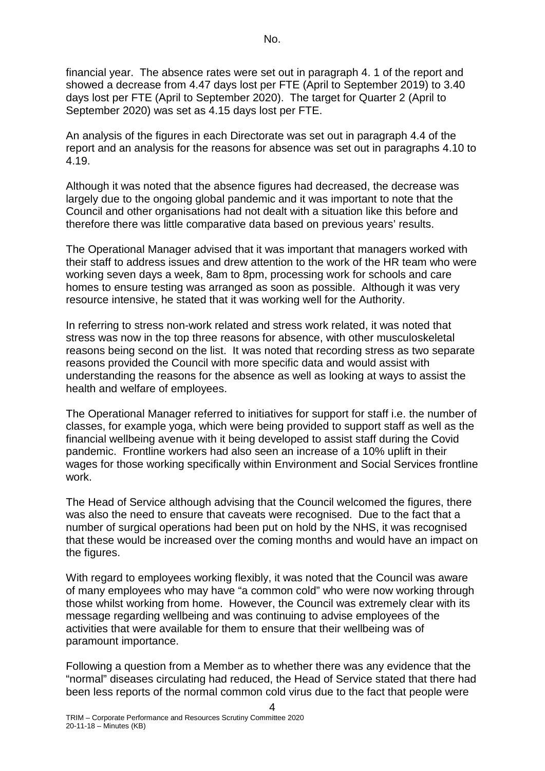financial year. The absence rates were set out in paragraph 4. 1 of the report and showed a decrease from 4.47 days lost per FTE (April to September 2019) to 3.40 days lost per FTE (April to September 2020). The target for Quarter 2 (April to September 2020) was set as 4.15 days lost per FTE.

An analysis of the figures in each Directorate was set out in paragraph 4.4 of the report and an analysis for the reasons for absence was set out in paragraphs 4.10 to 4.19.

Although it was noted that the absence figures had decreased, the decrease was largely due to the ongoing global pandemic and it was important to note that the Council and other organisations had not dealt with a situation like this before and therefore there was little comparative data based on previous years' results.

The Operational Manager advised that it was important that managers worked with their staff to address issues and drew attention to the work of the HR team who were working seven days a week, 8am to 8pm, processing work for schools and care homes to ensure testing was arranged as soon as possible. Although it was very resource intensive, he stated that it was working well for the Authority.

In referring to stress non-work related and stress work related, it was noted that stress was now in the top three reasons for absence, with other musculoskeletal reasons being second on the list. It was noted that recording stress as two separate reasons provided the Council with more specific data and would assist with understanding the reasons for the absence as well as looking at ways to assist the health and welfare of employees.

The Operational Manager referred to initiatives for support for staff i.e. the number of classes, for example yoga, which were being provided to support staff as well as the financial wellbeing avenue with it being developed to assist staff during the Covid pandemic. Frontline workers had also seen an increase of a 10% uplift in their wages for those working specifically within Environment and Social Services frontline work.

The Head of Service although advising that the Council welcomed the figures, there was also the need to ensure that caveats were recognised. Due to the fact that a number of surgical operations had been put on hold by the NHS, it was recognised that these would be increased over the coming months and would have an impact on the figures.

With regard to employees working flexibly, it was noted that the Council was aware of many employees who may have "a common cold" who were now working through those whilst working from home. However, the Council was extremely clear with its message regarding wellbeing and was continuing to advise employees of the activities that were available for them to ensure that their wellbeing was of paramount importance.

Following a question from a Member as to whether there was any evidence that the "normal" diseases circulating had reduced, the Head of Service stated that there had been less reports of the normal common cold virus due to the fact that people were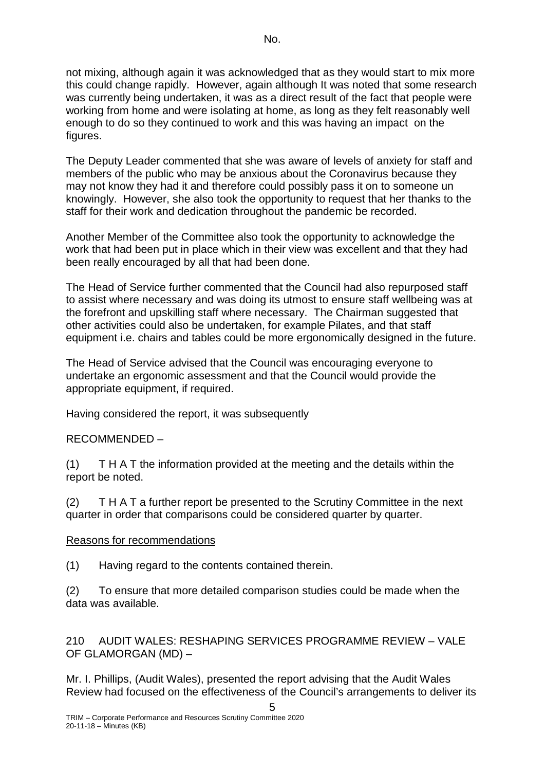not mixing, although again it was acknowledged that as they would start to mix more this could change rapidly. However, again although It was noted that some research was currently being undertaken, it was as a direct result of the fact that people were working from home and were isolating at home, as long as they felt reasonably well enough to do so they continued to work and this was having an impact on the figures.

The Deputy Leader commented that she was aware of levels of anxiety for staff and members of the public who may be anxious about the Coronavirus because they may not know they had it and therefore could possibly pass it on to someone un knowingly. However, she also took the opportunity to request that her thanks to the staff for their work and dedication throughout the pandemic be recorded.

Another Member of the Committee also took the opportunity to acknowledge the work that had been put in place which in their view was excellent and that they had been really encouraged by all that had been done.

The Head of Service further commented that the Council had also repurposed staff to assist where necessary and was doing its utmost to ensure staff wellbeing was at the forefront and upskilling staff where necessary. The Chairman suggested that other activities could also be undertaken, for example Pilates, and that staff equipment i.e. chairs and tables could be more ergonomically designed in the future.

The Head of Service advised that the Council was encouraging everyone to undertake an ergonomic assessment and that the Council would provide the appropriate equipment, if required.

Having considered the report, it was subsequently

## RECOMMENDED –

(1) T H A T the information provided at the meeting and the details within the report be noted.

(2) T H A T a further report be presented to the Scrutiny Committee in the next quarter in order that comparisons could be considered quarter by quarter.

## Reasons for recommendations

(1) Having regard to the contents contained therein.

(2) To ensure that more detailed comparison studies could be made when the data was available.

210 AUDIT WALES: RESHAPING SERVICES PROGRAMME REVIEW – VALE OF GLAMORGAN (MD) –

Mr. I. Phillips, (Audit Wales), presented the report advising that the Audit Wales Review had focused on the effectiveness of the Council's arrangements to deliver its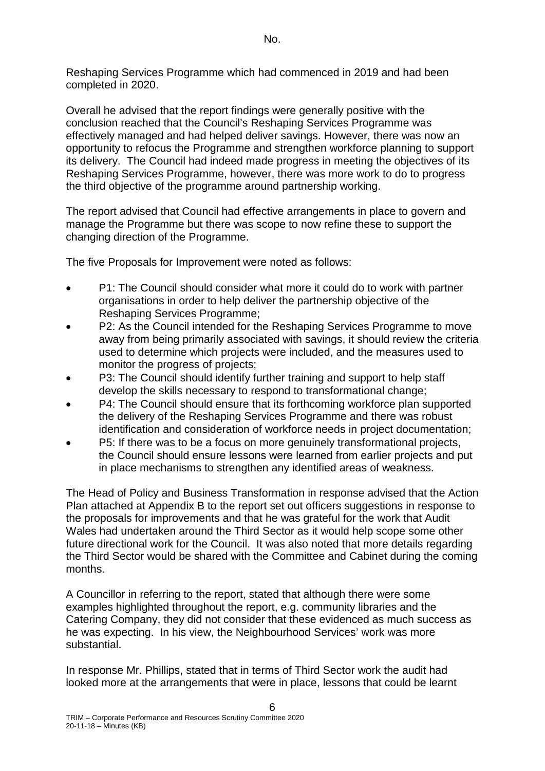Reshaping Services Programme which had commenced in 2019 and had been completed in 2020.

Overall he advised that the report findings were generally positive with the conclusion reached that the Council's Reshaping Services Programme was effectively managed and had helped deliver savings. However, there was now an opportunity to refocus the Programme and strengthen workforce planning to support its delivery. The Council had indeed made progress in meeting the objectives of its Reshaping Services Programme, however, there was more work to do to progress the third objective of the programme around partnership working.

The report advised that Council had effective arrangements in place to govern and manage the Programme but there was scope to now refine these to support the changing direction of the Programme.

The five Proposals for Improvement were noted as follows:

- P1: The Council should consider what more it could do to work with partner organisations in order to help deliver the partnership objective of the Reshaping Services Programme;
- P2: As the Council intended for the Reshaping Services Programme to move away from being primarily associated with savings, it should review the criteria used to determine which projects were included, and the measures used to monitor the progress of projects;
- P3: The Council should identify further training and support to help staff develop the skills necessary to respond to transformational change;
- P4: The Council should ensure that its forthcoming workforce plan supported the delivery of the Reshaping Services Programme and there was robust identification and consideration of workforce needs in project documentation;
- P5: If there was to be a focus on more genuinely transformational projects, the Council should ensure lessons were learned from earlier projects and put in place mechanisms to strengthen any identified areas of weakness.

The Head of Policy and Business Transformation in response advised that the Action Plan attached at Appendix B to the report set out officers suggestions in response to the proposals for improvements and that he was grateful for the work that Audit Wales had undertaken around the Third Sector as it would help scope some other future directional work for the Council. It was also noted that more details regarding the Third Sector would be shared with the Committee and Cabinet during the coming months.

A Councillor in referring to the report, stated that although there were some examples highlighted throughout the report, e.g. community libraries and the Catering Company, they did not consider that these evidenced as much success as he was expecting. In his view, the Neighbourhood Services' work was more substantial.

In response Mr. Phillips, stated that in terms of Third Sector work the audit had looked more at the arrangements that were in place, lessons that could be learnt